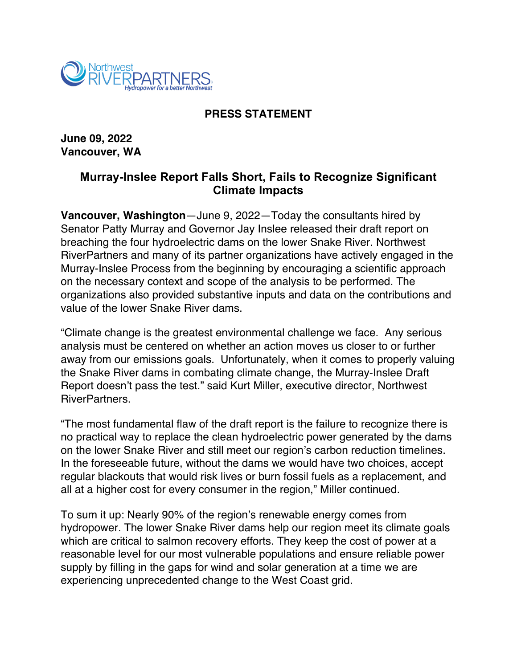

## **PRESS STATEMENT**

**June 09, 2022 Vancouver, WA**

## **Murray-Inslee Report Falls Short, Fails to Recognize Significant Climate Impacts**

**Vancouver, Washington**—June 9, 2022—Today the consultants hired by Senator Patty Murray and Governor Jay Inslee released their draft report on breaching the four hydroelectric dams on the lower Snake River. Northwest RiverPartners and many of its partner organizations have actively engaged in the Murray-Inslee Process from the beginning by encouraging a scientific approach on the necessary context and scope of the analysis to be performed. The organizations also provided substantive inputs and data on the contributions and value of the lower Snake River dams.

"Climate change is the greatest environmental challenge we face. Any serious analysis must be centered on whether an action moves us closer to or further away from our emissions goals. Unfortunately, when it comes to properly valuing the Snake River dams in combating climate change, the Murray-Inslee Draft Report doesn't pass the test." said Kurt Miller, executive director, Northwest RiverPartners.

"The most fundamental flaw of the draft report is the failure to recognize there is no practical way to replace the clean hydroelectric power generated by the dams on the lower Snake River and still meet our region's carbon reduction timelines. In the foreseeable future, without the dams we would have two choices, accept regular blackouts that would risk lives or burn fossil fuels as a replacement, and all at a higher cost for every consumer in the region," Miller continued.

To sum it up: Nearly 90% of the region's renewable energy comes from hydropower. The lower Snake River dams help our region meet its climate goals which are critical to salmon recovery efforts. They keep the cost of power at a reasonable level for our most vulnerable populations and ensure reliable power supply by filling in the gaps for wind and solar generation at a time we are experiencing unprecedented change to the West Coast grid.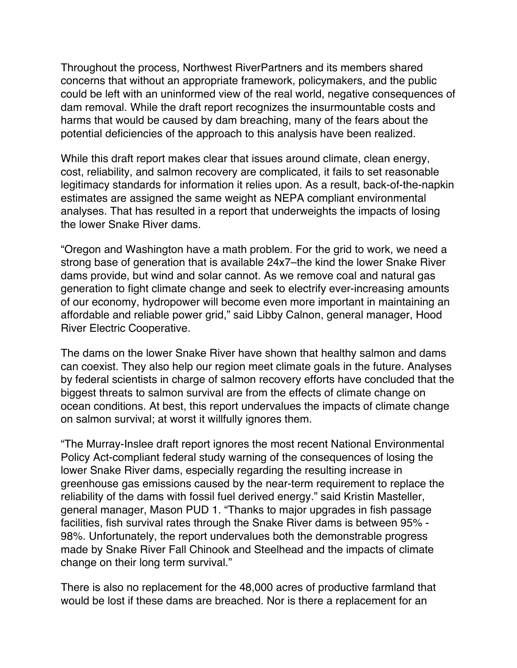Throughout the process, Northwest RiverPartners and its members shared concerns that without an appropriate framework, policymakers, and the public could be left with an uninformed view of the real world, negative consequences of dam removal. While the draft report recognizes the insurmountable costs and harms that would be caused by dam breaching, many of the fears about the potential deficiencies of the approach to this analysis have been realized.

While this draft report makes clear that issues around climate, clean energy, cost, reliability, and salmon recovery are complicated, it fails to set reasonable legitimacy standards for information it relies upon. As a result, back-of-the-napkin estimates are assigned the same weight as NEPA compliant environmental analyses. That has resulted in a report that underweights the impacts of losing the lower Snake River dams.

"Oregon and Washington have a math problem. For the grid to work, we need a strong base of generation that is available 24x7–the kind the lower Snake River dams provide, but wind and solar cannot. As we remove coal and natural gas generation to fight climate change and seek to electrify ever-increasing amounts of our economy, hydropower will become even more important in maintaining an affordable and reliable power grid," said Libby Calnon, general manager, Hood River Electric Cooperative.

The dams on the lower Snake River have shown that healthy salmon and dams can coexist. They also help our region meet climate goals in the future. Analyses by federal scientists in charge of salmon recovery efforts have concluded that the biggest threats to salmon survival are from the effects of climate change on ocean conditions. At best, this report undervalues the impacts of climate change on salmon survival; at worst it willfully ignores them.

"The Murray-Inslee draft report ignores the most recent National Environmental Policy Act-compliant federal study warning of the consequences of losing the lower Snake River dams, especially regarding the resulting increase in greenhouse gas emissions caused by the near-term requirement to replace the reliability of the dams with fossil fuel derived energy." said Kristin Masteller, general manager, Mason PUD 1. "Thanks to major upgrades in fish passage facilities, fish survival rates through the Snake River dams is between 95% - 98%. Unfortunately, the report undervalues both the demonstrable progress made by Snake River Fall Chinook and Steelhead and the impacts of climate change on their long term survival."

There is also no replacement for the 48,000 acres of productive farmland that would be lost if these dams are breached. Nor is there a replacement for an